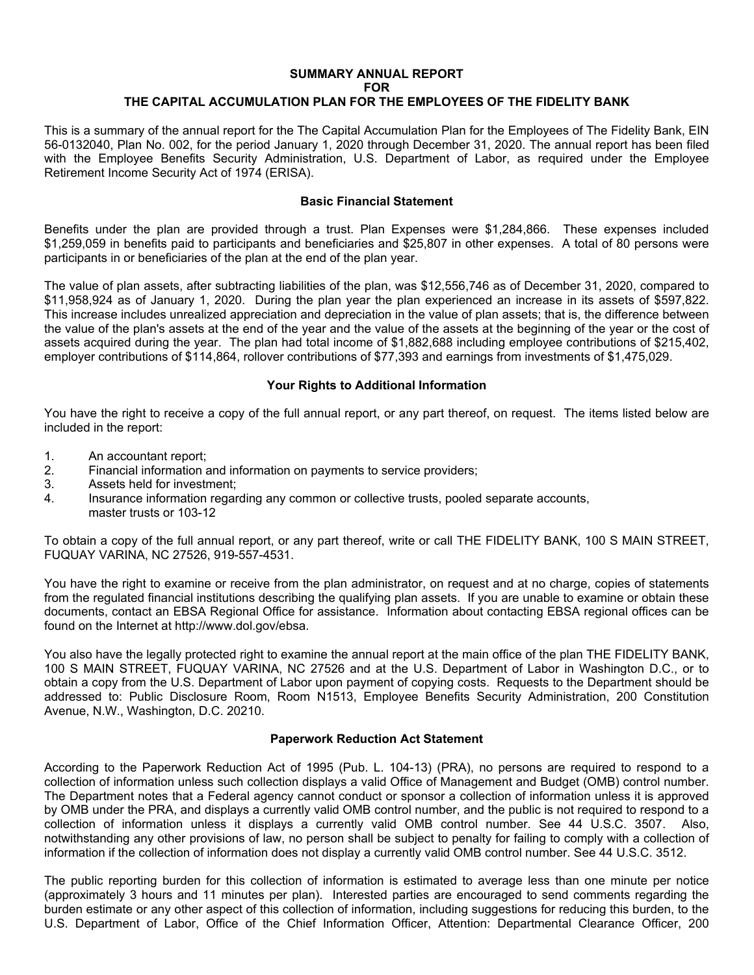## **SUMMARY ANNUAL REPORT FOR THE CAPITAL ACCUMULATION PLAN FOR THE EMPLOYEES OF THE FIDELITY BANK**

This is a summary of the annual report for the The Capital Accumulation Plan for the Employees of The Fidelity Bank, EIN 56-0132040, Plan No. 002, for the period January 1, 2020 through December 31, 2020. The annual report has been filed with the Employee Benefits Security Administration, U.S. Department of Labor, as required under the Employee Retirement Income Security Act of 1974 (ERISA).

## **Basic Financial Statement**

Benefits under the plan are provided through a trust. Plan Expenses were \$1,284,866. These expenses included \$1,259,059 in benefits paid to participants and beneficiaries and \$25,807 in other expenses. A total of 80 persons were participants in or beneficiaries of the plan at the end of the plan year.

The value of plan assets, after subtracting liabilities of the plan, was \$12,556,746 as of December 31, 2020, compared to \$11,958,924 as of January 1, 2020. During the plan year the plan experienced an increase in its assets of \$597,822. This increase includes unrealized appreciation and depreciation in the value of plan assets; that is, the difference between the value of the plan's assets at the end of the year and the value of the assets at the beginning of the year or the cost of assets acquired during the year. The plan had total income of \$1,882,688 including employee contributions of \$215,402, employer contributions of \$114,864, rollover contributions of \$77,393 and earnings from investments of \$1,475,029.

## **Your Rights to Additional Information**

You have the right to receive a copy of the full annual report, or any part thereof, on request. The items listed below are included in the report:

- 1. An accountant report;
- 2. Financial information and information on payments to service providers;
- 3. Assets held for investment;
- 4. Insurance information regarding any common or collective trusts, pooled separate accounts, master trusts or 103-12

To obtain a copy of the full annual report, or any part thereof, write or call THE FIDELITY BANK, 100 S MAIN STREET, FUQUAY VARINA, NC 27526, 919-557-4531.

You have the right to examine or receive from the plan administrator, on request and at no charge, copies of statements from the regulated financial institutions describing the qualifying plan assets. If you are unable to examine or obtain these documents, contact an EBSA Regional Office for assistance. Information about contacting EBSA regional offices can be found on the Internet at http://www.dol.gov/ebsa.

You also have the legally protected right to examine the annual report at the main office of the plan THE FIDELITY BANK, 100 S MAIN STREET, FUQUAY VARINA, NC 27526 and at the U.S. Department of Labor in Washington D.C., or to obtain a copy from the U.S. Department of Labor upon payment of copying costs. Requests to the Department should be addressed to: Public Disclosure Room, Room N1513, Employee Benefits Security Administration, 200 Constitution Avenue, N.W., Washington, D.C. 20210.

## **Paperwork Reduction Act Statement**

According to the Paperwork Reduction Act of 1995 (Pub. L. 104-13) (PRA), no persons are required to respond to a collection of information unless such collection displays a valid Office of Management and Budget (OMB) control number. The Department notes that a Federal agency cannot conduct or sponsor a collection of information unless it is approved by OMB under the PRA, and displays a currently valid OMB control number, and the public is not required to respond to a collection of information unless it displays a currently valid OMB control number. See 44 U.S.C. 3507. Also, notwithstanding any other provisions of law, no person shall be subject to penalty for failing to comply with a collection of information if the collection of information does not display a currently valid OMB control number. See 44 U.S.C. 3512.

The public reporting burden for this collection of information is estimated to average less than one minute per notice (approximately 3 hours and 11 minutes per plan). Interested parties are encouraged to send comments regarding the burden estimate or any other aspect of this collection of information, including suggestions for reducing this burden, to the U.S. Department of Labor, Office of the Chief Information Officer, Attention: Departmental Clearance Officer, 200